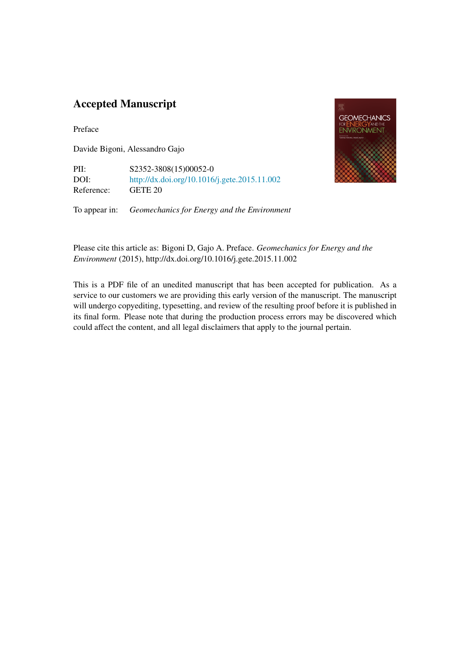## Accepted Manuscript

Preface

Davide Bigoni, Alessandro Gajo

PII: S2352-3808(15)00052-0 DOI: <http://dx.doi.org/10.1016/j.gete.2015.11.002> Reference: GETE 20



To appear in: *Geomechanics for Energy and the Environment*

Please cite this article as: Bigoni D, Gajo A. Preface. *Geomechanics for Energy and the Environment* (2015), http://dx.doi.org/10.1016/j.gete.2015.11.002

This is a PDF file of an unedited manuscript that has been accepted for publication. As a service to our customers we are providing this early version of the manuscript. The manuscript will undergo copyediting, typesetting, and review of the resulting proof before it is published in its final form. Please note that during the production process errors may be discovered which could affect the content, and all legal disclaimers that apply to the journal pertain.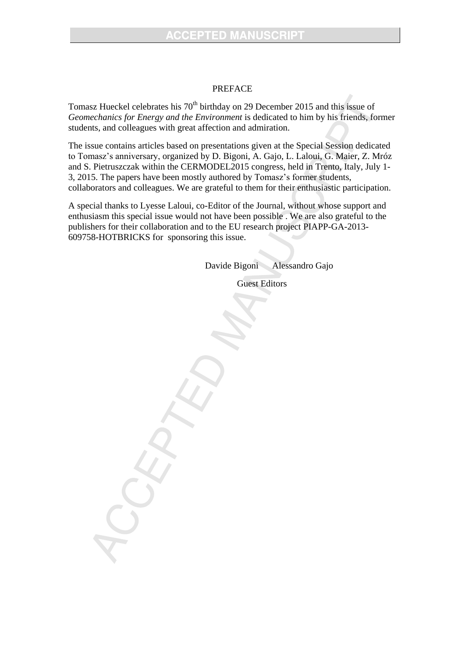## PREFACE

Tomasz Hueckel celebrates his 70<sup>th</sup> birthday on 29 December 2015 and this issue of *Geomechanics for Energy and the Environment* is dedicated to him by his friends, former students, and colleagues with great affection and admiration.

The issue contains articles based on presentations given at the Special Session dedicated to Tomasz's anniversary, organized by D. Bigoni, A. Gajo, L. Laloui, G. Maier, Z. Mróz and S. Pietruszczak within the CERMODEL2015 congress, held in Trento, Italy, July 1- 3, 2015. The papers have been mostly authored by Tomasz"s former students, collaborators and colleagues. We are grateful to them for their enthusiastic participation.

A special thanks to Lyesse Laloui, co-Editor of the Journal, without whose support and enthusiasm this special issue would not have been possible . We are also grateful to the publishers for their collaboration and to the EU research project PIAPP-GA-2013- 609758-HOTBRICKS for sponsoring this issue.

Davide Bigoni Alessandro Gajo

Guest Editors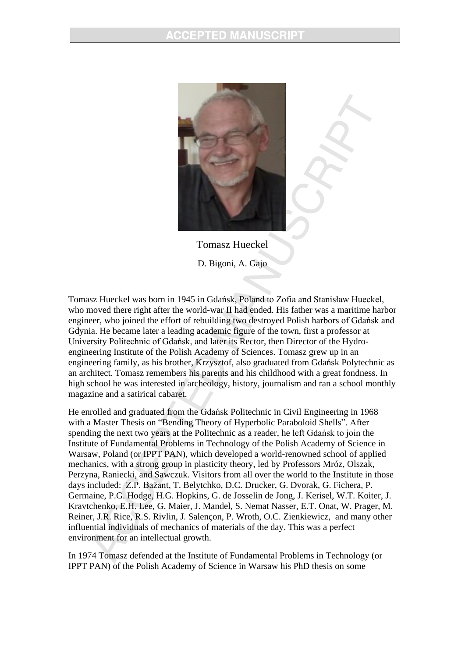## **CCEPTED MANUSCRIPT**



Tomasz Hueckel D. Bigoni, A. Gajo

Tomasz Hueckel was born in 1945 in Gdańsk, Poland to Zofia and Stanisław Hueckel, who moved there right after the world-war II had ended. His father was a maritime harbor engineer, who joined the effort of rebuilding two destroyed Polish harbors of Gdańsk and Gdynia. He became later a leading academic figure of the town, first a professor at University Politechnic of Gdańsk, and later its Rector, then Director of the Hydroengineering Institute of the Polish Academy of Sciences. Tomasz grew up in an engineering family, as his brother, Krzysztof, also graduated from Gdańsk Polytechnic as an architect. Tomasz remembers his parents and his childhood with a great fondness. In high school he was interested in archeology, history, journalism and ran a school monthly magazine and a satirical cabaret.

He enrolled and graduated from the Gdańsk Politechnic in Civil Engineering in 1968 with a Master Thesis on "Bending Theory of Hyperbolic Paraboloid Shells". After spending the next two years at the Politechnic as a reader, he left Gdańsk to join the Institute of Fundamental Problems in Technology of the Polish Academy of Science in Warsaw, Poland (or IPPT PAN), which developed a world-renowned school of applied mechanics, with a strong group in plasticity theory, led by Professors Mróz, Olszak, Perzyna, Raniecki, and Sawczuk. Visitors from all over the world to the Institute in those days included: Z.P. Bažant, T. Belytchko, D.C. Drucker, G. Dvorak, G. Fichera, P. Germaine, P.G. Hodge, H.G. Hopkins, G. de Josselin de Jong, J. Kerisel, W.T. Koiter, J. Kravtchenko, E.H. Lee, G. Maier, J. Mandel, S. Nemat Nasser, E.T. Onat, W. Prager, M. Reiner, J.R. Rice, R.S. Rivlin, J. Salençon, P. Wroth, O.C. Zienkiewicz, and many other influential individuals of mechanics of materials of the day. This was a perfect environment for an intellectual growth.

In 1974 Tomasz defended at the Institute of Fundamental Problems in Technology (or IPPT PAN) of the Polish Academy of Science in Warsaw his PhD thesis on some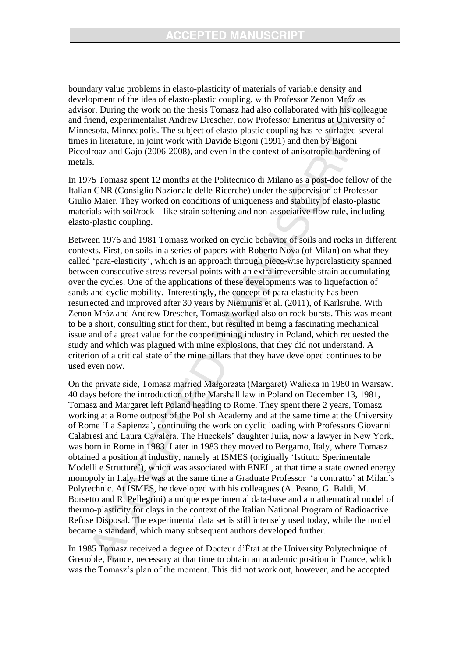boundary value problems in elasto-plasticity of materials of variable density and development of the idea of elasto-plastic coupling, with Professor Zenon Mróz as advisor. During the work on the thesis Tomasz had also collaborated with his colleague and friend, experimentalist Andrew Drescher, now Professor Emeritus at University of Minnesota, Minneapolis. The subject of elasto-plastic coupling has re-surfaced several times in literature, in joint work with Davide Bigoni (1991) and then by Bigoni Piccolroaz and Gajo (2006-2008), and even in the context of anisotropic hardening of metals.

In 1975 Tomasz spent 12 months at the Politecnico di Milano as a post-doc fellow of the Italian CNR (Consiglio Nazionale delle Ricerche) under the supervision of Professor Giulio Maier. They worked on conditions of uniqueness and stability of elasto-plastic materials with soil/rock – like strain softening and non-associative flow rule, including elasto-plastic coupling.

Between 1976 and 1981 Tomasz worked on cyclic behavior of soils and rocks in different contexts. First, on soils in a series of papers with Roberto Nova (of Milan) on what they called "para-elasticity", which is an approach through piece-wise hyperelasticity spanned between consecutive stress reversal points with an extra irreversible strain accumulating over the cycles. One of the applications of these developments was to liquefaction of sands and cyclic mobility. Interestingly, the concept of para-elasticity has been resurrected and improved after 30 years by Niemunis et al. (2011), of Karlsruhe. With Zenon Mróz and Andrew Drescher, Tomasz worked also on rock-bursts. This was meant to be a short, consulting stint for them, but resulted in being a fascinating mechanical issue and of a great value for the copper mining industry in Poland, which requested the study and which was plagued with mine explosions, that they did not understand. A criterion of a critical state of the mine pillars that they have developed continues to be used even now.

On the private side, Tomasz married Małgorzata (Margaret) Walicka in 1980 in Warsaw. 40 days before the introduction of the Marshall law in Poland on December 13, 1981, Tomasz and Margaret left Poland heading to Rome. They spent there 2 years, Tomasz working at a Rome outpost of the Polish Academy and at the same time at the University of Rome "La Sapienza", continuing the work on cyclic loading with Professors Giovanni Calabresi and Laura Cavalera. The Hueckels" daughter Julia, now a lawyer in New York, was born in Rome in 1983. Later in 1983 they moved to Bergamo, Italy, where Tomasz obtained a position at industry, namely at ISMES (originally "Istituto Sperimentale Modelli e Strutture'), which was associated with ENEL, at that time a state owned energy monopoly in Italy. He was at the same time a Graduate Professor 'a contratto' at Milan's Polytechnic. At ISMES, he developed with his colleagues (A. Peano, G. Baldi, M. Borsetto and R. Pellegrini) a unique experimental data-base and a mathematical model of thermo-plasticity for clays in the context of the Italian National Program of Radioactive Refuse Disposal. The experimental data set is still intensely used today, while the model became a standard, which many subsequent authors developed further.

In 1985 Tomasz received a degree of Docteur d"État at the University Polytechnique of Grenoble, France, necessary at that time to obtain an academic position in France, which was the Tomasz"s plan of the moment. This did not work out, however, and he accepted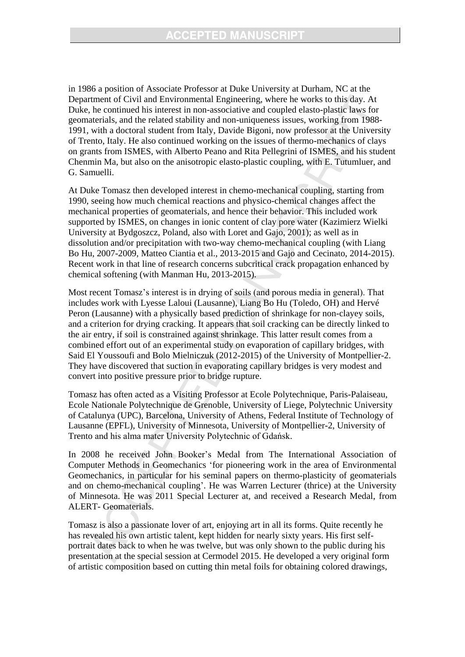in 1986 a position of Associate Professor at Duke University at Durham, NC at the Department of Civil and Environmental Engineering, where he works to this day. At Duke, he continued his interest in non-associative and coupled elasto-plastic laws for geomaterials, and the related stability and non-uniqueness issues, working from 1988- 1991, with a doctoral student from Italy, Davide Bigoni, now professor at the University of Trento, Italy. He also continued working on the issues of thermo-mechanics of clays on grants from ISMES, with Alberto Peano and Rita Pellegrini of ISMES, and his student Chenmin Ma, but also on the anisotropic elasto-plastic coupling, with E. Tutumluer, and G. Samuelli.

At Duke Tomasz then developed interest in chemo-mechanical coupling, starting from 1990, seeing how much chemical reactions and physico-chemical changes affect the mechanical properties of geomaterials, and hence their behavior. This included work supported by ISMES, on changes in ionic content of clay pore water (Kazimierz Wielki University at Bydgoszcz, Poland, also with Loret and Gajo, 2001); as well as in dissolution and/or precipitation with two-way chemo-mechanical coupling (with Liang Bo Hu, 2007-2009, Matteo Ciantia et al., 2013-2015 and Gajo and Cecinato, 2014-2015). Recent work in that line of research concerns subcritical crack propagation enhanced by chemical softening (with Manman Hu, 2013-2015).

Most recent Tomasz's interest is in drying of soils (and porous media in general). That includes work with Lyesse Laloui (Lausanne), Liang Bo Hu (Toledo, OH) and Hervé Peron (Lausanne) with a physically based prediction of shrinkage for non-clayey soils, and a criterion for drying cracking. It appears that soil cracking can be directly linked to the air entry, if soil is constrained against shrinkage. This latter result comes from a combined effort out of an experimental study on evaporation of capillary bridges, with Said El Youssoufi and Bolo Mielniczuk (2012-2015) of the University of Montpellier-2. They have discovered that suction in evaporating capillary bridges is very modest and convert into positive pressure prior to bridge rupture.

Tomasz has often acted as a Visiting Professor at Ecole Polytechnique, Paris-Palaiseau, Ecole Nationale Polytechnique de Grenoble, University of Liege, Polytechnic University of Catalunya (UPC), Barcelona, University of Athens, Federal Institute of Technology of Lausanne (EPFL), University of Minnesota, University of Montpellier-2, University of Trento and his alma mater University Polytechnic of Gdańsk.

In 2008 he received John Booker"s Medal from The International Association of Computer Methods in Geomechanics "for pioneering work in the area of Environmental Geomechanics, in particular for his seminal papers on thermo-plasticity of geomaterials and on chemo-mechanical coupling". He was Warren Lecturer (thrice) at the University of Minnesota. He was 2011 Special Lecturer at, and received a Research Medal, from ALERT- Geomaterials.

Tomasz is also a passionate lover of art, enjoying art in all its forms. Quite recently he has revealed his own artistic talent, kept hidden for nearly sixty years. His first selfportrait dates back to when he was twelve, but was only shown to the public during his presentation at the special session at Cermodel 2015. He developed a very original form of artistic composition based on cutting thin metal foils for obtaining colored drawings,